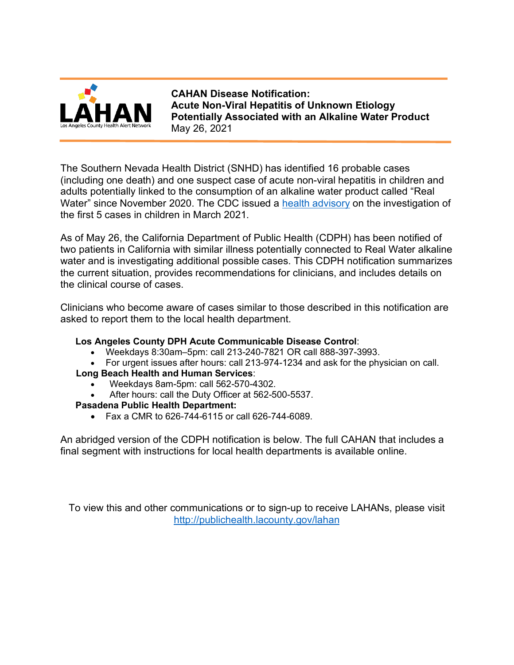

**CAHAN Disease Notification: Acute Non-Viral Hepatitis of Unknown Etiology Potentially Associated with an Alkaline Water Product** May 26, 2021

The Southern Nevada Health District (SNHD) has identified 16 probable cases (including one death) and one suspect case of acute non-viral hepatitis in children and adults potentially linked to the consumption of an alkaline water product called "Real Water" since November 2020. The CDC issued a [health advisory](http://publichealth.lacounty.gov/eprp/lahan/alerts/CDCHepatitisAlkalineWater033121.pdf) on the investigation of the first 5 cases in children in March 2021.

As of May 26, the California Department of Public Health (CDPH) has been notified of two patients in California with similar illness potentially connected to Real Water alkaline water and is investigating additional possible cases. This CDPH notification summarizes the current situation, provides recommendations for clinicians, and includes details on the clinical course of cases.

Clinicians who become aware of cases similar to those described in this notification are asked to report them to the local health department.

#### **Los Angeles County DPH Acute Communicable Disease Control**:

- Weekdays 8:30am–5pm: call 213-240-7821 OR call 888-397-3993.
- For urgent issues after hours: call 213-974-1234 and ask for the physician on call.
- **Long Beach Health and Human Services**:
	- Weekdays 8am-5pm: call 562-570-4302.
	- After hours: call the Duty Officer at 562-500-5537.

#### **Pasadena Public Health Department:**

• Fax a CMR to 626-744-6115 or call 626-744-6089.

An abridged version of the CDPH notification is below. The full CAHAN that includes a final segment with instructions for local health departments is available online.

To view this and other communications or to sign-up to receive LAHANs, please visit <http://publichealth.lacounty.gov/lahan>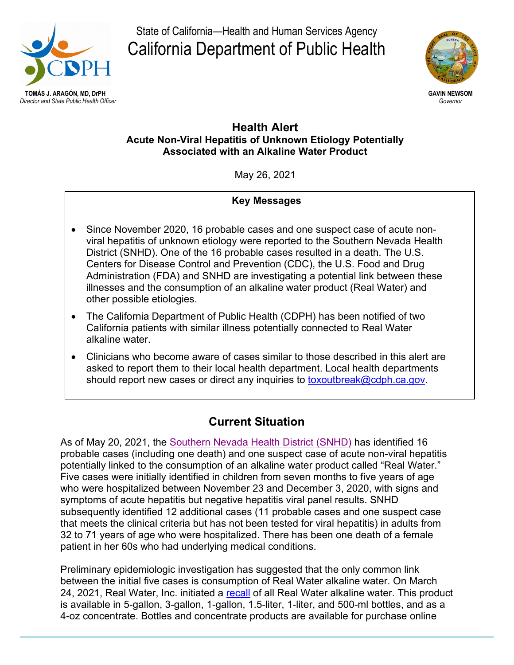

State of California—Health and Human Services Agency California Department of Public Health



## **Health Alert Acute Non-Viral Hepatitis of Unknown Etiology Potentially Associated with an Alkaline Water Product**

May 26, 2021

## **Key Messages**

- Since November 2020, 16 probable cases and one suspect case of acute nonviral hepatitis of unknown etiology were reported to the Southern Nevada Health District (SNHD). One of the 16 probable cases resulted in a death. The U.S. Centers for Disease Control and Prevention (CDC), the U.S. Food and Drug Administration (FDA) and SNHD are investigating a potential link between these illnesses and the consumption of an alkaline water product (Real Water) and other possible etiologies.
- The California Department of Public Health (CDPH) has been notified of two California patients with similar illness potentially connected to Real Water alkaline water.
- Clinicians who become aware of cases similar to those described in this alert are asked to report them to their local health department. Local health departments should report new cases or direct any inquiries to [toxoutbreak@cdph.ca.gov.](mailto:toxoutbreak@cdph.ca.gov)

# **Current Situation**

As of May 20, 2021, the [Southern Nevada Health District \(SNHD\)](https://www.southernnevadahealthdistrict.org/news-release/southern-nevada-health-district-reports-one-death-linked-to-acute-non-viral-hepatitis-illness-investigation-and-additional-cases/) has identified 16 probable cases (including one death) and one suspect case of acute non-viral hepatitis potentially linked to the consumption of an alkaline water product called "Real Water." Five cases were initially identified in children from seven months to five years of age who were hospitalized between November 23 and December 3, 2020, with signs and symptoms of acute hepatitis but negative hepatitis viral panel results. SNHD subsequently identified 12 additional cases (11 probable cases and one suspect case that meets the clinical criteria but has not been tested for viral hepatitis) in adults from 32 to 71 years of age who were hospitalized. There has been one death of a female patient in her 60s who had underlying medical conditions.

Preliminary epidemiologic investigation has suggested that the only common link between the initial five cases is consumption of Real Water alkaline water. On March 24, 2021, Real Water, Inc. initiated a [recall](https://www.fda.gov/safety/recalls-market-withdrawals-safety-alerts/real-water-inc-issues-precautionary-recall-all-sizes-real-water-brand-drinking-water-due-possible) of all Real Water alkaline water. This product is available in 5-gallon, 3-gallon, 1-gallon, 1.5-liter, 1-liter, and 500-ml bottles, and as a 4-oz concentrate. Bottles and concentrate products are available for purchase online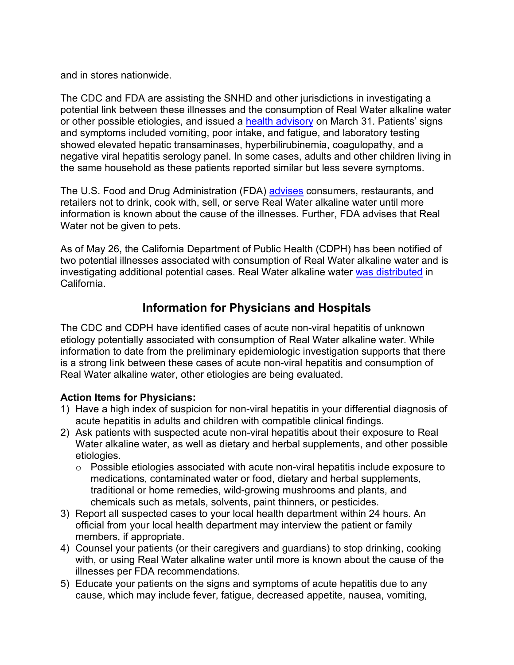and in stores nationwide.

The CDC and FDA are assisting the SNHD and other jurisdictions in investigating a potential link between these illnesses and the consumption of Real Water alkaline water or other possible etiologies, and issued a [health advisory](https://emergency.cdc.gov/han/2021/han00441.asp) on March 31. Patients' signs and symptoms included vomiting, poor intake, and fatigue, and laboratory testing showed elevated hepatic transaminases, hyperbilirubinemia, coagulopathy, and a negative viral hepatitis serology panel. In some cases, adults and other children living in the same household as these patients reported similar but less severe symptoms.

The U.S. Food and Drug Administration (FDA) [advises](https://www.fda.gov/food/outbreaks-foodborne-illness/investigation-acute-non-viral-hepatitis-illnesses-real-water-brand-alkaline-water-march-2021) consumers, restaurants, and retailers not to drink, cook with, sell, or serve Real Water alkaline water until more information is known about the cause of the illnesses. Further, FDA advises that Real Water not be given to pets.

As of May 26, the California Department of Public Health (CDPH) has been notified of two potential illnesses associated with consumption of Real Water alkaline water and is investigating additional potential cases. Real Water alkaline water [was distributed](https://www.cdph.ca.gov/Programs/CEH/DFDCS/CDPH%20Document%20Library/FDB/FoodSafetyProgram/FoodRecalls/March%202021/fdbFrRW1n.pdf) in California.

## **Information for Physicians and Hospitals**

The CDC and CDPH have identified cases of acute non-viral hepatitis of unknown etiology potentially associated with consumption of Real Water alkaline water. While information to date from the preliminary epidemiologic investigation supports that there is a strong link between these cases of acute non-viral hepatitis and consumption of Real Water alkaline water, other etiologies are being evaluated.

## **Action Items for Physicians:**

- 1) Have a high index of suspicion for non-viral hepatitis in your differential diagnosis of acute hepatitis in adults and children with compatible clinical findings.
- 2) Ask patients with suspected acute non-viral hepatitis about their exposure to Real Water alkaline water, as well as dietary and herbal supplements, and other possible etiologies.
	- $\circ$  Possible etiologies associated with acute non-viral hepatitis include exposure to medications, contaminated water or food, dietary and herbal supplements, traditional or home remedies, wild-growing mushrooms and plants, and chemicals such as metals, solvents, paint thinners, or pesticides.
- 3) Report all suspected cases to your local health department within 24 hours. An official from your local health department may interview the patient or family members, if appropriate.
- 4) Counsel your patients (or their caregivers and guardians) to stop drinking, cooking with, or using Real Water alkaline water until more is known about the cause of the illnesses per FDA recommendations.
- 5) Educate your patients on the signs and symptoms of acute hepatitis due to any cause, which may include fever, fatigue, decreased appetite, nausea, vomiting,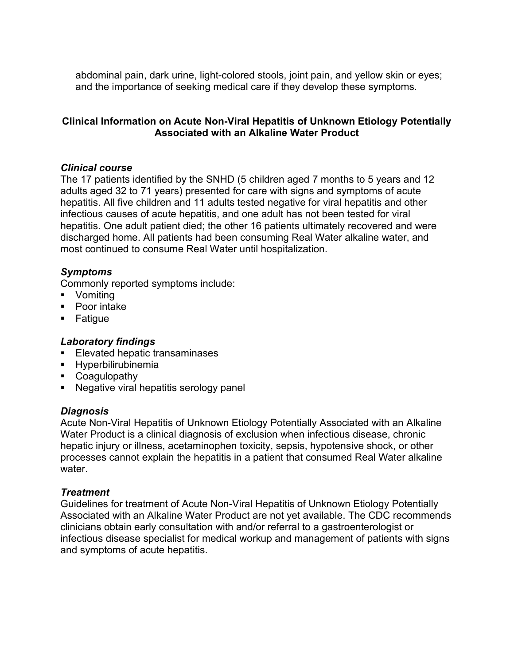abdominal pain, dark urine, light-colored stools, joint pain, and yellow skin or eyes; and the importance of seeking medical care if they develop these symptoms.

## **Clinical Information on Acute Non-Viral Hepatitis of Unknown Etiology Potentially Associated with an Alkaline Water Product**

#### *Clinical course*

The 17 patients identified by the SNHD (5 children aged 7 months to 5 years and 12 adults aged 32 to 71 years) presented for care with signs and symptoms of acute hepatitis. All five children and 11 adults tested negative for viral hepatitis and other infectious causes of acute hepatitis, and one adult has not been tested for viral hepatitis. One adult patient died; the other 16 patients ultimately recovered and were discharged home. All patients had been consuming Real Water alkaline water, and most continued to consume Real Water until hospitalization.

#### *Symptoms*

Commonly reported symptoms include:

- Vomiting
- Poor intake
- **Fatigue**

#### *Laboratory findings*

- **Elevated hepatic transaminases**
- **Hyperbilirubinemia**
- Coagulopathy
- **Negative viral hepatitis serology panel**

#### *Diagnosis*

Acute Non-Viral Hepatitis of Unknown Etiology Potentially Associated with an Alkaline Water Product is a clinical diagnosis of exclusion when infectious disease, chronic hepatic injury or illness, acetaminophen toxicity, sepsis, hypotensive shock, or other processes cannot explain the hepatitis in a patient that consumed Real Water alkaline water

#### *Treatment*

Guidelines for treatment of Acute Non-Viral Hepatitis of Unknown Etiology Potentially Associated with an Alkaline Water Product are not yet available. The CDC recommends clinicians obtain early consultation with and/or referral to a gastroenterologist or infectious disease specialist for medical workup and management of patients with signs and symptoms of acute hepatitis.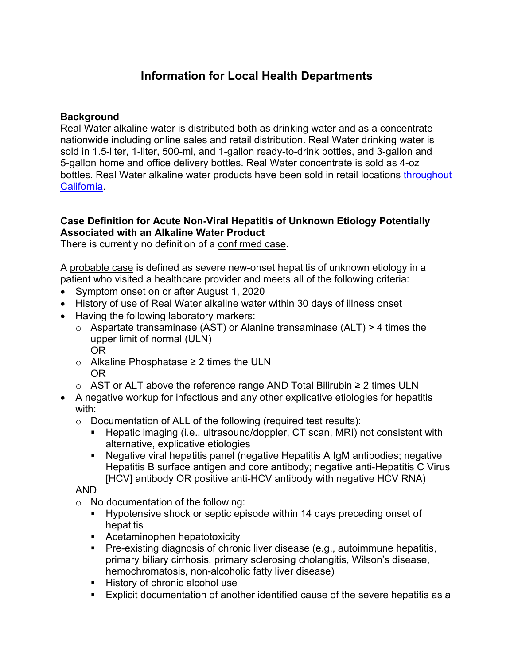## **Information for Local Health Departments**

## **Background**

Real Water alkaline water is distributed both as drinking water and as a concentrate nationwide including online sales and retail distribution. Real Water drinking water is sold in 1.5-liter, 1-liter, 500-ml, and 1-gallon ready-to-drink bottles, and 3-gallon and 5-gallon home and office delivery bottles. Real Water concentrate is sold as 4-oz bottles. Real Water alkaline water products have been sold in retail locations [throughout](https://www.cdph.ca.gov/Programs/CEH/DFDCS/CDPH%20Document%20Library/FDB/FoodSafetyProgram/FoodRecalls/ProductandRetailDistributionLists/fdbFrRW1d.pdf)  [California.](https://www.cdph.ca.gov/Programs/CEH/DFDCS/CDPH%20Document%20Library/FDB/FoodSafetyProgram/FoodRecalls/ProductandRetailDistributionLists/fdbFrRW1d.pdf)

### **Case Definition for Acute Non-Viral Hepatitis of Unknown Etiology Potentially Associated with an Alkaline Water Product**

There is currently no definition of a confirmed case.

A probable case is defined as severe new-onset hepatitis of unknown etiology in a patient who visited a healthcare provider and meets all of the following criteria:

- Symptom onset on or after August 1, 2020
- History of use of Real Water alkaline water within 30 days of illness onset
- Having the following laboratory markers:
	- $\circ$  Aspartate transaminase (AST) or Alanine transaminase (ALT) > 4 times the upper limit of normal (ULN) OR
	- o Alkaline Phosphatase ≥ 2 times the ULN OR
	- o AST or ALT above the reference range AND Total Bilirubin ≥ 2 times ULN
- A negative workup for infectious and any other explicative etiologies for hepatitis with:
	- o Documentation of ALL of the following (required test results):
		- Hepatic imaging (i.e., ultrasound/doppler, CT scan, MRI) not consistent with alternative, explicative etiologies
		- Negative viral hepatitis panel (negative Hepatitis A IgM antibodies; negative Hepatitis B surface antigen and core antibody; negative anti-Hepatitis C Virus [HCV] antibody OR positive anti-HCV antibody with negative HCV RNA)

#### AND

- o No documentation of the following:
	- **Hypotensive shock or septic episode within 14 days preceding onset of** hepatitis
	- **Acetaminophen hepatotoxicity**
	- **Pre-existing diagnosis of chronic liver disease (e.g., autoimmune hepatitis,** primary biliary cirrhosis, primary sclerosing cholangitis, Wilson's disease, hemochromatosis, non-alcoholic fatty liver disease)
	- **History of chronic alcohol use**
	- Explicit documentation of another identified cause of the severe hepatitis as a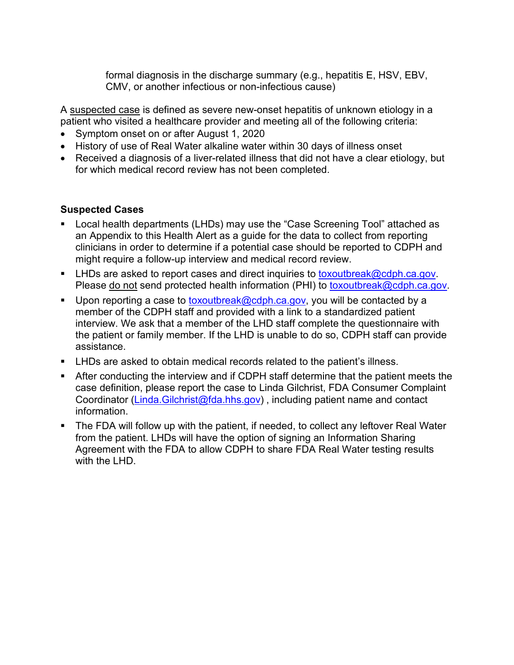formal diagnosis in the discharge summary (e.g., hepatitis E, HSV, EBV, CMV, or another infectious or non-infectious cause)

A suspected case is defined as severe new-onset hepatitis of unknown etiology in a patient who visited a healthcare provider and meeting all of the following criteria:

- Symptom onset on or after August 1, 2020
- History of use of Real Water alkaline water within 30 days of illness onset
- Received a diagnosis of a liver-related illness that did not have a clear etiology, but for which medical record review has not been completed.

## **Suspected Cases**

- Local health departments (LHDs) may use the "Case Screening Tool" attached as an Appendix to this Health Alert as a guide for the data to collect from reporting clinicians in order to determine if a potential case should be reported to CDPH and might require a follow-up interview and medical record review.
- **LHDs are asked to report cases and direct inquiries to [toxoutbreak@cdph.ca.gov.](mailto:toxoutbreak@cdph.ca.gov)** Please do not send protected health information (PHI) to [toxoutbreak@cdph.ca.gov.](mailto:toxoutbreak@cdph.ca.gov)
- Upon reporting a case to [toxoutbreak@cdph.ca.gov,](mailto:toxoutbreak@cdph.ca.gov) you will be contacted by a member of the CDPH staff and provided with a link to a standardized patient interview. We ask that a member of the LHD staff complete the questionnaire with the patient or family member. If the LHD is unable to do so, CDPH staff can provide assistance.
- LHDs are asked to obtain medical records related to the patient's illness.
- After conducting the interview and if CDPH staff determine that the patient meets the case definition, please report the case to Linda Gilchrist, FDA Consumer Complaint Coordinator (Linda. Gilchrist@fda.hhs.gov), including patient name and contact information.
- The FDA will follow up with the patient, if needed, to collect any leftover Real Water from the patient. LHDs will have the option of signing an Information Sharing Agreement with the FDA to allow CDPH to share FDA Real Water testing results with the I HD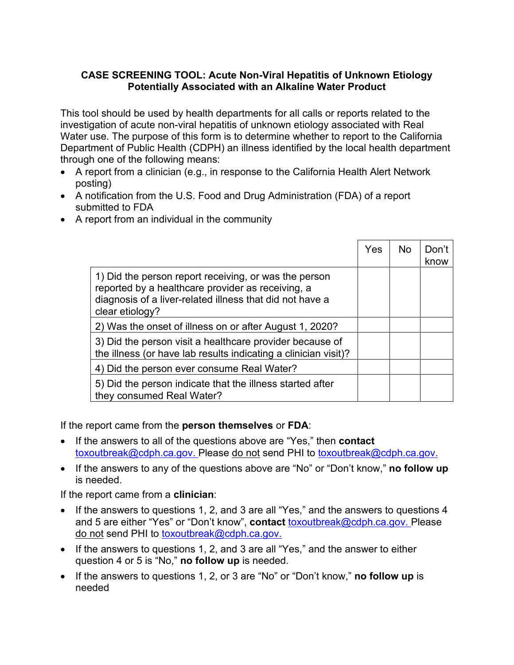### **CASE SCREENING TOOL: Acute Non-Viral Hepatitis of Unknown Etiology Potentially Associated with an Alkaline Water Product**

This tool should be used by health departments for all calls or reports related to the investigation of acute non-viral hepatitis of unknown etiology associated with Real Water use. The purpose of this form is to determine whether to report to the California Department of Public Health (CDPH) an illness identified by the local health department through one of the following means:

- A report from a clinician (e.g., in response to the California Health Alert Network posting)
- A notification from the U.S. Food and Drug Administration (FDA) of a report submitted to FDA
- A report from an individual in the community

|                                                                                                                                                                                           | Yes | No. | Don't<br>know |
|-------------------------------------------------------------------------------------------------------------------------------------------------------------------------------------------|-----|-----|---------------|
| 1) Did the person report receiving, or was the person<br>reported by a healthcare provider as receiving, a<br>diagnosis of a liver-related illness that did not have a<br>clear etiology? |     |     |               |
| 2) Was the onset of illness on or after August 1, 2020?                                                                                                                                   |     |     |               |
| 3) Did the person visit a healthcare provider because of<br>the illness (or have lab results indicating a clinician visit)?                                                               |     |     |               |
| 4) Did the person ever consume Real Water?                                                                                                                                                |     |     |               |
| 5) Did the person indicate that the illness started after<br>they consumed Real Water?                                                                                                    |     |     |               |

If the report came from the **person themselves** or **FDA**:

- If the answers to all of the questions above are "Yes," then **contact** [toxoutbreak@cdph.ca.gov.](mailto:toxoutbreak@cdph.ca.gov) Please do not send PHI to [toxoutbreak@cdph.ca.gov.](mailto:toxoutbreak@cdph.ca.gov)
- If the answers to any of the questions above are "No" or "Don't know," **no follow up** is needed.

If the report came from a **clinician**:

- If the answers to questions 1, 2, and 3 are all "Yes," and the answers to questions 4 and 5 are either "Yes" or "Don't know", **contact** [toxoutbreak@cdph.ca.gov.](mailto:toxoutbreak@cdph.ca.gov) Please do not send PHI to [toxoutbreak@cdph.ca.gov.](mailto:toxoutbreak@cdph.ca.gov)
- If the answers to questions 1, 2, and 3 are all "Yes," and the answer to either question 4 or 5 is "No," **no follow up** is needed.
- If the answers to questions 1, 2, or 3 are "No" or "Don't know," **no follow up** is needed